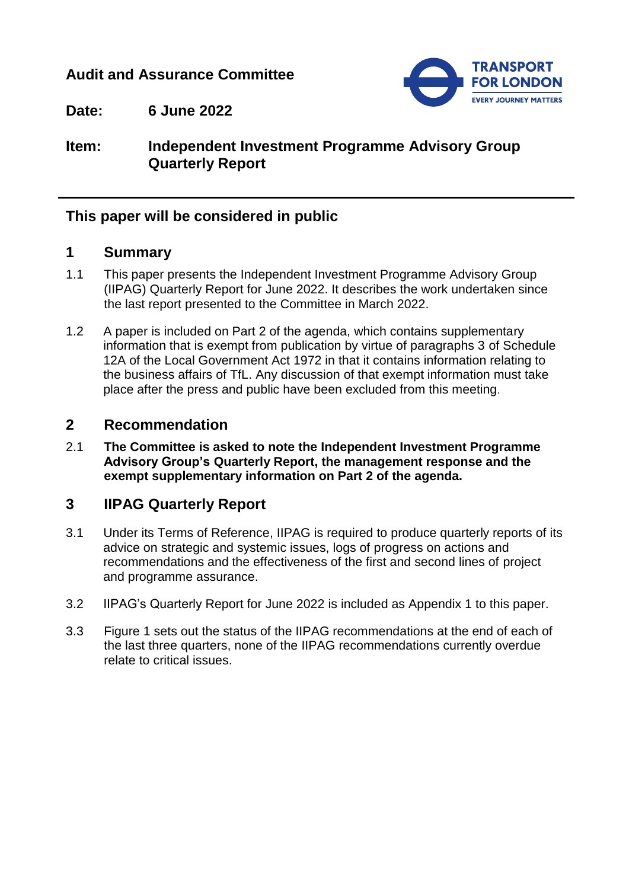## **Audit and Assurance Committee**



**Date: 6 June 2022**

## **Item: Independent Investment Programme Advisory Group Quarterly Report**

## **This paper will be considered in public**

## **1 Summary**

- 1.1 This paper presents the Independent Investment Programme Advisory Group (IIPAG) Quarterly Report for June 2022. It describes the work undertaken since the last report presented to the Committee in March 2022.
- 1.2 A paper is included on Part 2 of the agenda, which contains supplementary information that is exempt from publication by virtue of paragraphs 3 of Schedule 12A of the Local Government Act 1972 in that it contains information relating to the business affairs of TfL. Any discussion of that exempt information must take place after the press and public have been excluded from this meeting.

## **2 Recommendation**

2.1 **The Committee is asked to note the Independent Investment Programme Advisory Group's Quarterly Report, the management response and the exempt supplementary information on Part 2 of the agenda.**

# **3 IIPAG Quarterly Report**

- 3.1 Under its Terms of Reference, IIPAG is required to produce quarterly reports of its advice on strategic and systemic issues, logs of progress on actions and recommendations and the effectiveness of the first and second lines of project and programme assurance.
- 3.2 IIPAG's Quarterly Report for June 2022 is included as Appendix 1 to this paper.
- 3.3 Figure 1 sets out the status of the IIPAG recommendations at the end of each of the last three quarters, none of the IIPAG recommendations currently overdue relate to critical issues.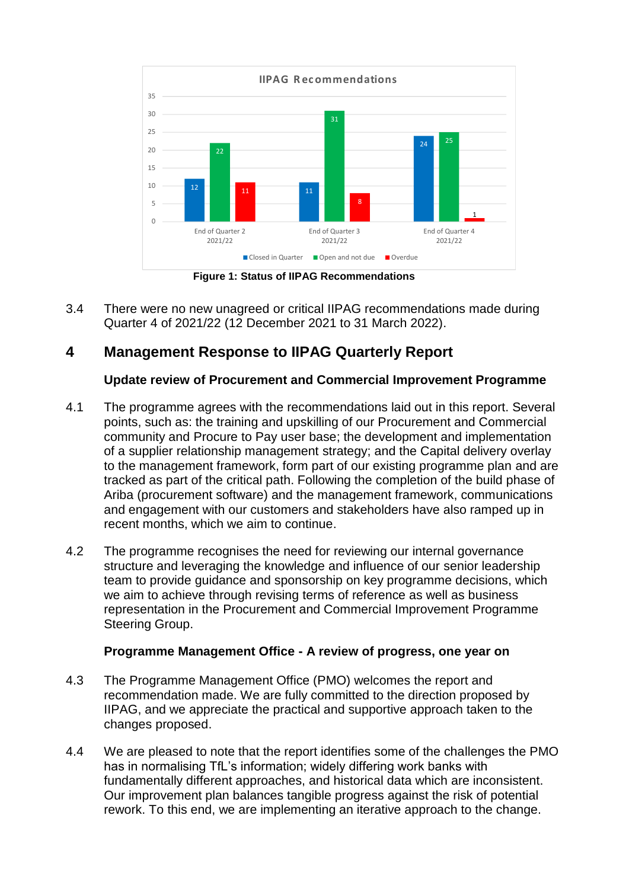

**Figure 1: Status of IIPAG Recommendations**

3.4 There were no new unagreed or critical IIPAG recommendations made during Quarter 4 of 2021/22 (12 December 2021 to 31 March 2022).

# **4 Management Response to IIPAG Quarterly Report**

#### **Update review of Procurement and Commercial Improvement Programme**

- 4.1 The programme agrees with the recommendations laid out in this report. Several points, such as: the training and upskilling of our Procurement and Commercial community and Procure to Pay user base; the development and implementation of a supplier relationship management strategy; and the Capital delivery overlay to the management framework, form part of our existing programme plan and are tracked as part of the critical path. Following the completion of the build phase of Ariba (procurement software) and the management framework, communications and engagement with our customers and stakeholders have also ramped up in recent months, which we aim to continue.
- 4.2 The programme recognises the need for reviewing our internal governance structure and leveraging the knowledge and influence of our senior leadership team to provide guidance and sponsorship on key programme decisions, which we aim to achieve through revising terms of reference as well as business representation in the Procurement and Commercial Improvement Programme Steering Group.

#### **Programme Management Office - A review of progress, one year on**

- 4.3 The Programme Management Office (PMO) welcomes the report and recommendation made. We are fully committed to the direction proposed by IIPAG, and we appreciate the practical and supportive approach taken to the changes proposed.
- 4.4 We are pleased to note that the report identifies some of the challenges the PMO has in normalising TfL's information; widely differing work banks with fundamentally different approaches, and historical data which are inconsistent. Our improvement plan balances tangible progress against the risk of potential rework. To this end, we are implementing an iterative approach to the change.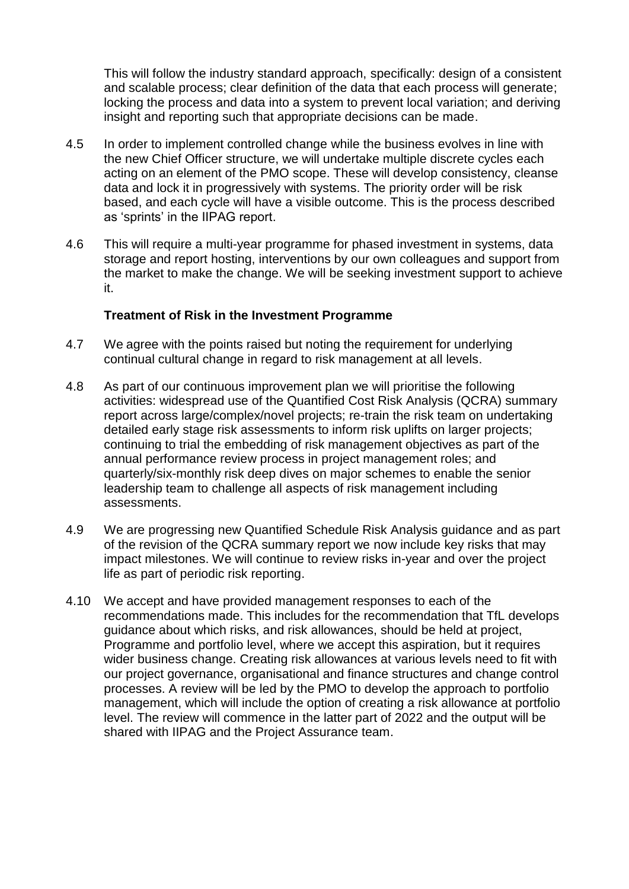This will follow the industry standard approach, specifically: design of a consistent and scalable process; clear definition of the data that each process will generate; locking the process and data into a system to prevent local variation; and deriving insight and reporting such that appropriate decisions can be made.

- 4.5 In order to implement controlled change while the business evolves in line with the new Chief Officer structure, we will undertake multiple discrete cycles each acting on an element of the PMO scope. These will develop consistency, cleanse data and lock it in progressively with systems. The priority order will be risk based, and each cycle will have a visible outcome. This is the process described as 'sprints' in the IIPAG report.
- 4.6 This will require a multi-year programme for phased investment in systems, data storage and report hosting, interventions by our own colleagues and support from the market to make the change. We will be seeking investment support to achieve it.

#### **Treatment of Risk in the Investment Programme**

- 4.7 We agree with the points raised but noting the requirement for underlying continual cultural change in regard to risk management at all levels.
- 4.8 As part of our continuous improvement plan we will prioritise the following activities: widespread use of the Quantified Cost Risk Analysis (QCRA) summary report across large/complex/novel projects; re-train the risk team on undertaking detailed early stage risk assessments to inform risk uplifts on larger projects; continuing to trial the embedding of risk management objectives as part of the annual performance review process in project management roles; and quarterly/six-monthly risk deep dives on major schemes to enable the senior leadership team to challenge all aspects of risk management including assessments.
- 4.9 We are progressing new Quantified Schedule Risk Analysis guidance and as part of the revision of the QCRA summary report we now include key risks that may impact milestones. We will continue to review risks in-year and over the project life as part of periodic risk reporting.
- 4.10 We accept and have provided management responses to each of the recommendations made. This includes for the recommendation that TfL develops guidance about which risks, and risk allowances, should be held at project, Programme and portfolio level, where we accept this aspiration, but it requires wider business change. Creating risk allowances at various levels need to fit with our project governance, organisational and finance structures and change control processes. A review will be led by the PMO to develop the approach to portfolio management, which will include the option of creating a risk allowance at portfolio level. The review will commence in the latter part of 2022 and the output will be shared with IIPAG and the Project Assurance team.